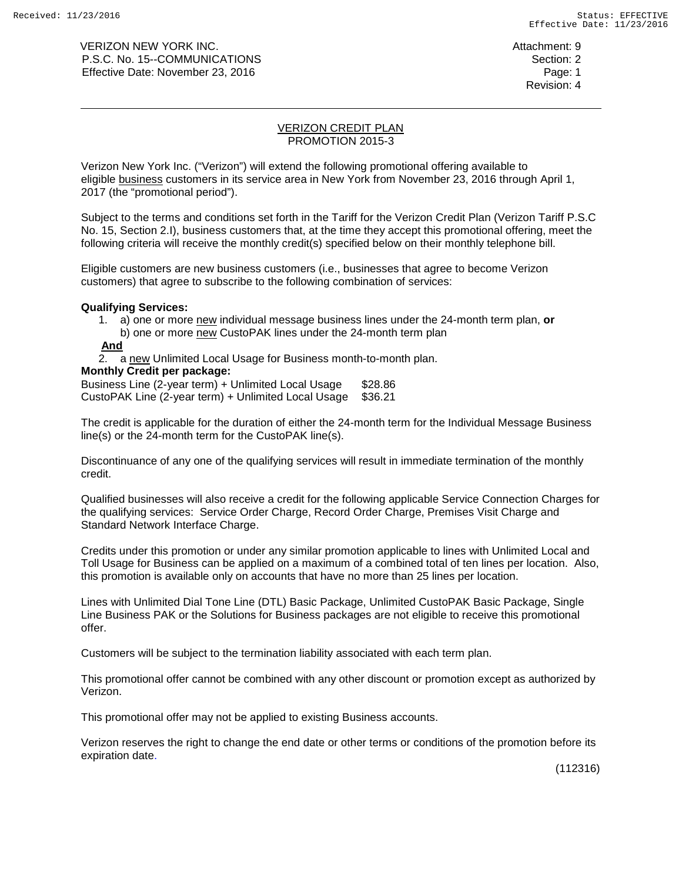VERIZON NEW YORK INC. Attachment: 9 P.S.C. No. 15--COMMUNICATIONS Section: 2 Effective Date: November 23, 2016 Page: 1

### VERIZON CREDIT PLAN PROMOTION 2015-3

Verizon New York Inc. ("Verizon") will extend the following promotional offering available to eligible business customers in its service area in New York from November 23, 2016 through April 1, 2017 (the "promotional period").

Subject to the terms and conditions set forth in the Tariff for the Verizon Credit Plan (Verizon Tariff P.S.C No. 15, Section 2.I), business customers that, at the time they accept this promotional offering, meet the following criteria will receive the monthly credit(s) specified below on their monthly telephone bill.

Eligible customers are new business customers (i.e., businesses that agree to become Verizon customers) that agree to subscribe to the following combination of services:

## **Qualifying Services:**

1. a) one or more new individual message business lines under the 24-month term plan, **or** b) one or more new CustoPAK lines under the 24-month term plan

## **And**

2. a new Unlimited Local Usage for Business month-to-month plan.

## **Monthly Credit per package:**

Business Line (2-year term) + Unlimited Local Usage \$28.86 CustoPAK Line (2-year term) + Unlimited Local Usage \$36.21

The credit is applicable for the duration of either the 24-month term for the Individual Message Business line(s) or the 24-month term for the CustoPAK line(s).

Discontinuance of any one of the qualifying services will result in immediate termination of the monthly credit.

Qualified businesses will also receive a credit for the following applicable Service Connection Charges for the qualifying services: Service Order Charge, Record Order Charge, Premises Visit Charge and Standard Network Interface Charge.

Credits under this promotion or under any similar promotion applicable to lines with Unlimited Local and Toll Usage for Business can be applied on a maximum of a combined total of ten lines per location. Also, this promotion is available only on accounts that have no more than 25 lines per location.

Lines with Unlimited Dial Tone Line (DTL) Basic Package, Unlimited CustoPAK Basic Package, Single Line Business PAK or the Solutions for Business packages are not eligible to receive this promotional offer.

Customers will be subject to the termination liability associated with each term plan.

This promotional offer cannot be combined with any other discount or promotion except as authorized by Verizon.

This promotional offer may not be applied to existing Business accounts.

Verizon reserves the right to change the end date or other terms or conditions of the promotion before its expiration date.

(112316)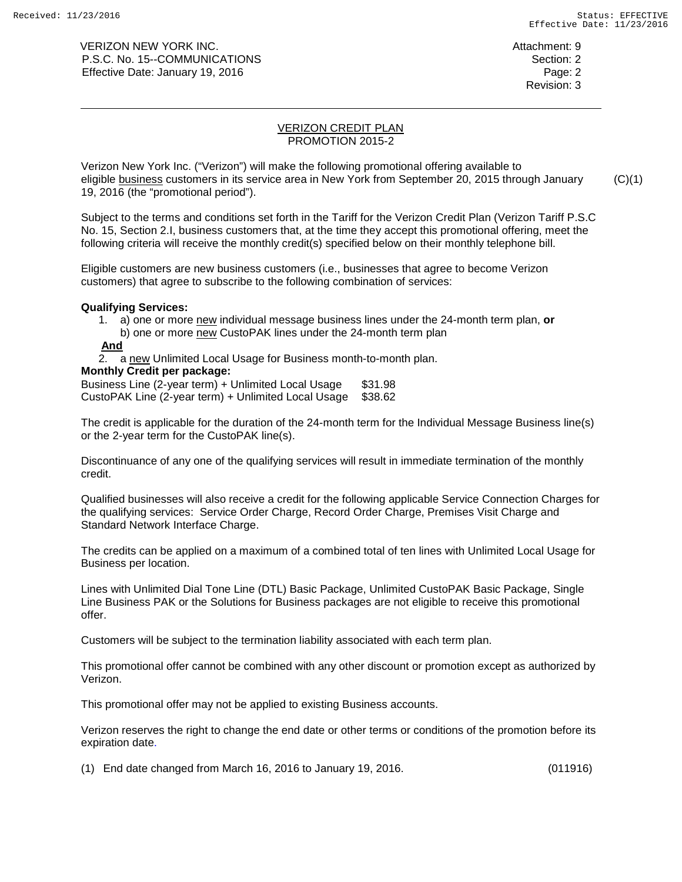VERIZON NEW YORK INC. Attachment: 9 P.S.C. No. 15--COMMUNICATIONS Section: 2 Effective Date: January 19, 2016 **Page: 2** and 2017 **Page: 2** and 2018 Page: 2

### VERIZON CREDIT PLAN PROMOTION 2015-2

Verizon New York Inc. ("Verizon") will make the following promotional offering available to eligible business customers in its service area in New York from September 20, 2015 through January 19, 2016 (the "promotional period").  $(C)(1)$ 

Subject to the terms and conditions set forth in the Tariff for the Verizon Credit Plan (Verizon Tariff P.S.C No. 15, Section 2.I, business customers that, at the time they accept this promotional offering, meet the following criteria will receive the monthly credit(s) specified below on their monthly telephone bill.

Eligible customers are new business customers (i.e., businesses that agree to become Verizon customers) that agree to subscribe to the following combination of services:

## **Qualifying Services:**

1. a) one or more new individual message business lines under the 24-month term plan, **or** b) one or more new CustoPAK lines under the 24-month term plan

# **And**

2. a new Unlimited Local Usage for Business month-to-month plan.

## **Monthly Credit per package:**

Business Line (2-year term) + Unlimited Local Usage \$31.98 CustoPAK Line (2-year term) + Unlimited Local Usage \$38.62

The credit is applicable for the duration of the 24-month term for the Individual Message Business line(s) or the 2-year term for the CustoPAK line(s).

Discontinuance of any one of the qualifying services will result in immediate termination of the monthly credit.

Qualified businesses will also receive a credit for the following applicable Service Connection Charges for the qualifying services: Service Order Charge, Record Order Charge, Premises Visit Charge and Standard Network Interface Charge.

The credits can be applied on a maximum of a combined total of ten lines with Unlimited Local Usage for Business per location.

Lines with Unlimited Dial Tone Line (DTL) Basic Package, Unlimited CustoPAK Basic Package, Single Line Business PAK or the Solutions for Business packages are not eligible to receive this promotional offer.

Customers will be subject to the termination liability associated with each term plan.

This promotional offer cannot be combined with any other discount or promotion except as authorized by Verizon.

This promotional offer may not be applied to existing Business accounts.

Verizon reserves the right to change the end date or other terms or conditions of the promotion before its expiration date.

(1) End date changed from March 16, 2016 to January 19, 2016. (011916)